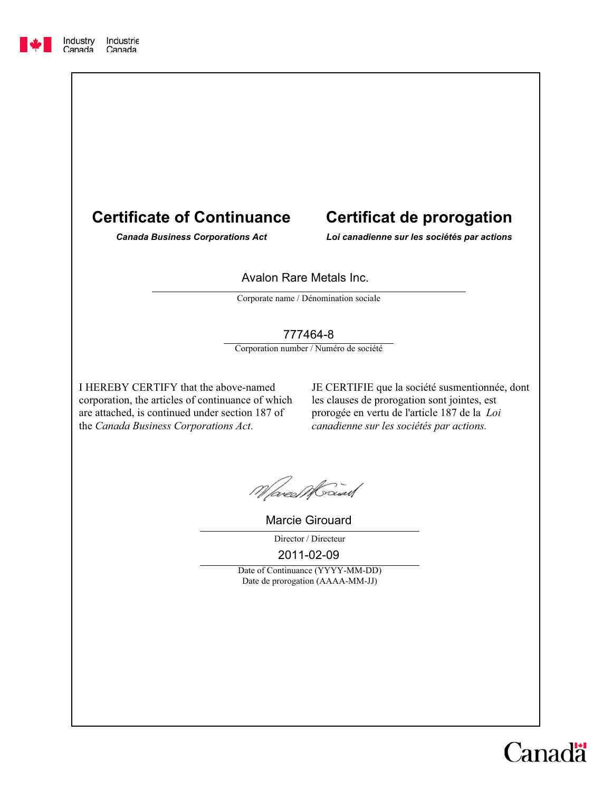## **Certificate of Continuance**

# **Certificat de prorogation**

*Canada Business Corporations Act Loi canadienne sur les sociétés par actions*

#### Avalon Rare Metals Inc.

Corporate name / Dénomination sociale

#### 777464-8

Corporation number / Numéro de société

I HEREBY CERTIFY that the above-named corporation, the articles of continuance of which are attached, is continued under section 187 of the *Canada Business Corporations Act*.

JE CERTIFIE que la société susmentionnée, dont les clauses de prorogation sont jointes, est prorogée en vertu de l'article 187 de la *Loi canadienne sur les sociétés par actions.*

Mared Maiau

Marcie Girouard

Director / Directeur

2011-02-09

Date of Continuance (YYYY-MM-DD) Date de prorogation (AAAA-MM-JJ)

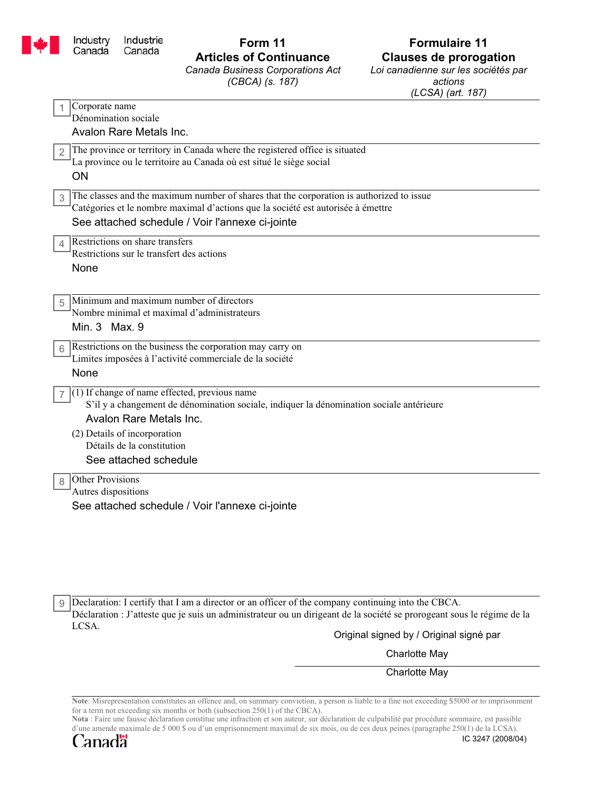

# *Canada Business Corporations Act*

*(CBCA) (s. 187)*

## **Form 11 Formulaire 11 Articles of Continuance Clauses de prorogation**

*Loi canadienne sur les sociétés par actions (LCSA) (art. 187)*

Avalon Rare Metals Inc. ON See attached schedule / Voir l'annexe ci-jointe None None Avalon Rare Metals Inc. See attached schedule / Voir l'annexe ci-jointe 1 3 The classes and the maximum number of shares that the corporation is authorized to issue 4 5  $7 \mid (1)$  If change of name effected, previous name 8 Other Provisions Corporate name Dénomination sociale The province or territory in Canada where the registered office is situated 2 La province ou le territoire au Canada où est situé le siège social Catégories et le nombre maximal d'actions que la société est autorisée à émettre Restrictions on share transfers Restrictions sur le transfert des actions Minimum and maximum number of directors Nombre minimal et maximal d'administrateurs  $6 \overline{\smash{\big)}\}$  Restrictions on the business the corporation may carry on Limites imposées à l'activité commerciale de la société S'il y a changement de dénomination sociale, indiquer la dénomination sociale antérieure (2) Details of incorporation Détails de la constitution Autres dispositions Min. 3 Max. 9 See attached schedule

9 Declaration: I certify that I am a director or an officer of the company continuing into the CBCA. Déclaration : J'atteste que je suis un administrateur ou un dirigeant de la société se prorogeant sous le régime de la LCSA.

Original signed by / Original signé par

Charlotte May

Charlotte May

**Note**: Misrepresentation constitutes an offence and, on summary conviction, a person is liable to a fine not exceeding \$5000 or to imprisonment for a term not exceeding six months or both (subsection 250(1) of the CBCA).

**Nota** : Faire une fausse déclaration constitue une infraction et son auteur, sur déclaration de culpabilité par procédure sommaire, est passible d'une amende maximale de 5 000 \$ ou d'un emprisonnement maximal de six mois, ou de ces deux peines (paragraphe 250(1) de la LCSA).

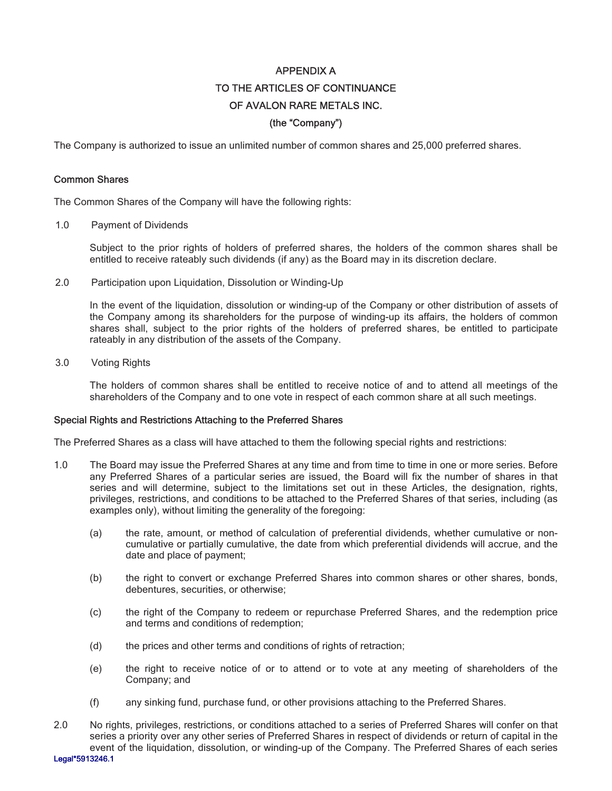## APPENDIX A TO THE ARTICLES OF CONTINUANCE OF AVALON RARE METALS INC. (the "Company")

The Company is authorized to issue an unlimited number of common shares and 25,000 preferred shares.

#### Common Shares

The Common Shares of the Company will have the following rights:

1.0 Payment of Dividends

Subject to the prior rights of holders of preferred shares, the holders of the common shares shall be entitled to receive rateably such dividends (if any) as the Board may in its discretion declare.

2.0 Participation upon Liquidation, Dissolution or Winding-Up

In the event of the liquidation, dissolution or winding-up of the Company or other distribution of assets of the Company among its shareholders for the purpose of winding-up its affairs, the holders of common shares shall, subject to the prior rights of the holders of preferred shares, be entitled to participate rateably in any distribution of the assets of the Company.

3.0 Voting Rights

The holders of common shares shall be entitled to receive notice of and to attend all meetings of the shareholders of the Company and to one vote in respect of each common share at all such meetings.

#### Special Rights and Restrictions Attaching to the Preferred Shares

The Preferred Shares as a class will have attached to them the following special rights and restrictions:

- 1.0 The Board may issue the Preferred Shares at any time and from time to time in one or more series. Before any Preferred Shares of a particular series are issued, the Board will fix the number of shares in that series and will determine, subject to the limitations set out in these Articles, the designation, rights, privileges, restrictions, and conditions to be attached to the Preferred Shares of that series, including (as examples only), without limiting the generality of the foregoing:
	- (a) the rate, amount, or method of calculation of preferential dividends, whether cumulative or noncumulative or partially cumulative, the date from which preferential dividends will accrue, and the date and place of payment;
	- (b) the right to convert or exchange Preferred Shares into common shares or other shares, bonds, debentures, securities, or otherwise;
	- (c) the right of the Company to redeem or repurchase Preferred Shares, and the redemption price and terms and conditions of redemption;
	- (d) the prices and other terms and conditions of rights of retraction;
	- (e) the right to receive notice of or to attend or to vote at any meeting of shareholders of the Company; and
	- (f) any sinking fund, purchase fund, or other provisions attaching to the Preferred Shares.

2.0 No rights, privileges, restrictions, or conditions attached to a series of Preferred Shares will confer on that series a priority over any other series of Preferred Shares in respect of dividends or return of capital in the event of the liquidation, dissolution, or winding-up of the Company. The Preferred Shares of each series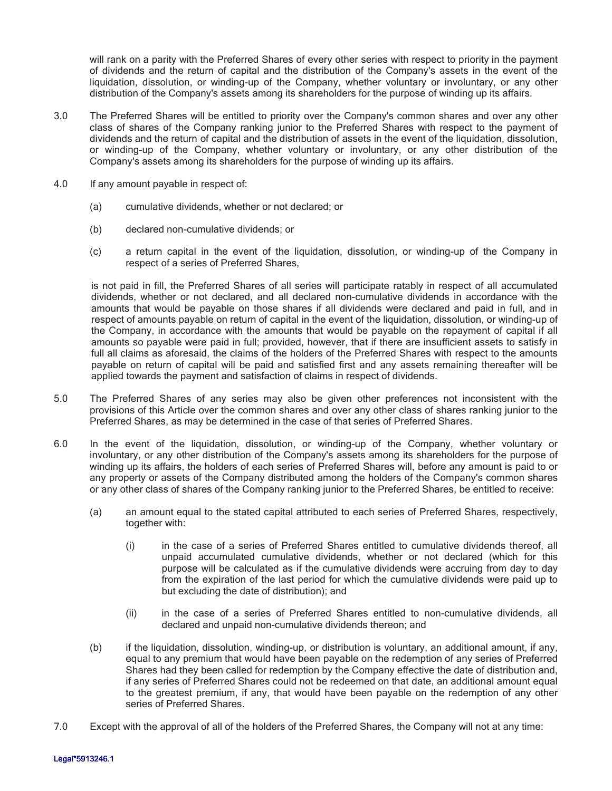will rank on a parity with the Preferred Shares of every other series with respect to priority in the payment of dividends and the return of capital and the distribution of the Company's assets in the event of the liquidation, dissolution, or winding-up of the Company, whether voluntary or involuntary, or any other distribution of the Company's assets among its shareholders for the purpose of winding up its affairs.

- 3.0 The Preferred Shares will be entitled to priority over the Company's common shares and over any other class of shares of the Company ranking junior to the Preferred Shares with respect to the payment of dividends and the return of capital and the distribution of assets in the event of the liquidation, dissolution, or winding-up of the Company, whether voluntary or involuntary, or any other distribution of the Company's assets among its shareholders for the purpose of winding up its affairs.
- 4.0 If any amount payable in respect of:
	- (a) cumulative dividends, whether or not declared; or
	- (b) declared non-cumulative dividends; or
	- (c) a return capital in the event of the liquidation, dissolution, or winding-up of the Company in respect of a series of Preferred Shares,

is not paid in fill, the Preferred Shares of all series will participate ratably in respect of all accumulated dividends, whether or not declared, and all declared non-cumulative dividends in accordance with the amounts that would be payable on those shares if all dividends were declared and paid in full, and in respect of amounts payable on return of capital in the event of the liquidation, dissolution, or winding-up of the Company, in accordance with the amounts that would be payable on the repayment of capital if all amounts so payable were paid in full; provided, however, that if there are insufficient assets to satisfy in full all claims as aforesaid, the claims of the holders of the Preferred Shares with respect to the amounts payable on return of capital will be paid and satisfied first and any assets remaining thereafter will be applied towards the payment and satisfaction of claims in respect of dividends.

- 5.0 The Preferred Shares of any series may also be given other preferences not inconsistent with the provisions of this Article over the common shares and over any other class of shares ranking junior to the Preferred Shares, as may be determined in the case of that series of Preferred Shares.
- 6.0 In the event of the liquidation, dissolution, or winding-up of the Company, whether voluntary or involuntary, or any other distribution of the Company's assets among its shareholders for the purpose of winding up its affairs, the holders of each series of Preferred Shares will, before any amount is paid to or any property or assets of the Company distributed among the holders of the Company's common shares or any other class of shares of the Company ranking junior to the Preferred Shares, be entitled to receive:
	- (a) an amount equal to the stated capital attributed to each series of Preferred Shares, respectively, together with:
		- (i) in the case of a series of Preferred Shares entitled to cumulative dividends thereof, all unpaid accumulated cumulative dividends, whether or not declared (which for this purpose will be calculated as if the cumulative dividends were accruing from day to day from the expiration of the last period for which the cumulative dividends were paid up to but excluding the date of distribution); and
		- (ii) in the case of a series of Preferred Shares entitled to non-cumulative dividends, all declared and unpaid non-cumulative dividends thereon; and
	- (b) if the liquidation, dissolution, winding-up, or distribution is voluntary, an additional amount, if any, equal to any premium that would have been payable on the redemption of any series of Preferred Shares had they been called for redemption by the Company effective the date of distribution and, if any series of Preferred Shares could not be redeemed on that date, an additional amount equal to the greatest premium, if any, that would have been payable on the redemption of any other series of Preferred Shares.
- 7.0 Except with the approval of all of the holders of the Preferred Shares, the Company will not at any time: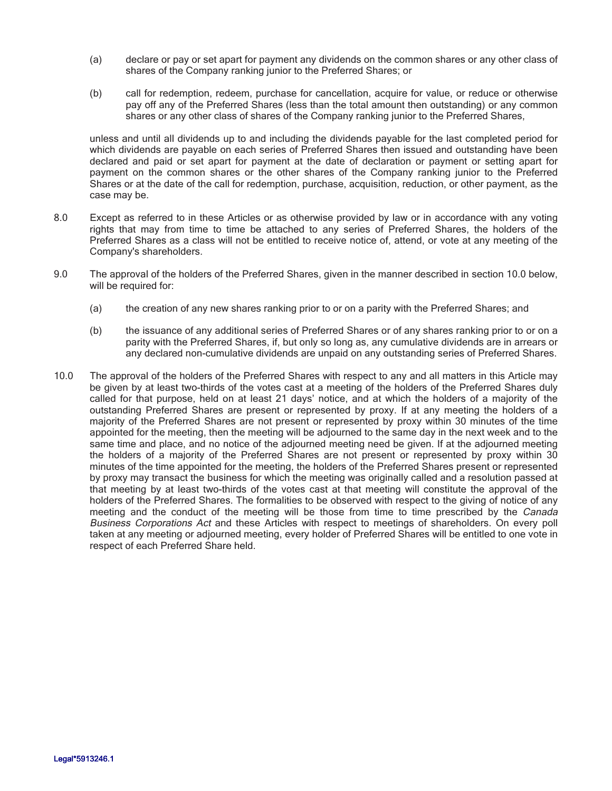- (a) declare or pay or set apart for payment any dividends on the common shares or any other class of shares of the Company ranking junior to the Preferred Shares; or
- (b) call for redemption, redeem, purchase for cancellation, acquire for value, or reduce or otherwise pay off any of the Preferred Shares (less than the total amount then outstanding) or any common shares or any other class of shares of the Company ranking junior to the Preferred Shares,

unless and until all dividends up to and including the dividends payable for the last completed period for which dividends are payable on each series of Preferred Shares then issued and outstanding have been declared and paid or set apart for payment at the date of declaration or payment or setting apart for payment on the common shares or the other shares of the Company ranking junior to the Preferred Shares or at the date of the call for redemption, purchase, acquisition, reduction, or other payment, as the case may be.

- 8.0 Except as referred to in these Articles or as otherwise provided by law or in accordance with any voting rights that may from time to time be attached to any series of Preferred Shares, the holders of the Preferred Shares as a class will not be entitled to receive notice of, attend, or vote at any meeting of the Company's shareholders.
- 9.0 The approval of the holders of the Preferred Shares, given in the manner described in section 10.0 below, will be required for:
	- (a) the creation of any new shares ranking prior to or on a parity with the Preferred Shares; and
	- (b) the issuance of any additional series of Preferred Shares or of any shares ranking prior to or on a parity with the Preferred Shares, if, but only so long as, any cumulative dividends are in arrears or any declared non-cumulative dividends are unpaid on any outstanding series of Preferred Shares.
- 10.0 The approval of the holders of the Preferred Shares with respect to any and all matters in this Article may be given by at least two-thirds of the votes cast at a meeting of the holders of the Preferred Shares duly called for that purpose, held on at least 21 days' notice, and at which the holders of a majority of the outstanding Preferred Shares are present or represented by proxy. If at any meeting the holders of a majority of the Preferred Shares are not present or represented by proxy within 30 minutes of the time appointed for the meeting, then the meeting will be adjourned to the same day in the next week and to the same time and place, and no notice of the adjourned meeting need be given. If at the adjourned meeting the holders of a majority of the Preferred Shares are not present or represented by proxy within 30 minutes of the time appointed for the meeting, the holders of the Preferred Shares present or represented by proxy may transact the business for which the meeting was originally called and a resolution passed at that meeting by at least two-thirds of the votes cast at that meeting will constitute the approval of the holders of the Preferred Shares. The formalities to be observed with respect to the giving of notice of any meeting and the conduct of the meeting will be those from time to time prescribed by the Canada Business Corporations Act and these Articles with respect to meetings of shareholders. On every poll taken at any meeting or adjourned meeting, every holder of Preferred Shares will be entitled to one vote in respect of each Preferred Share held.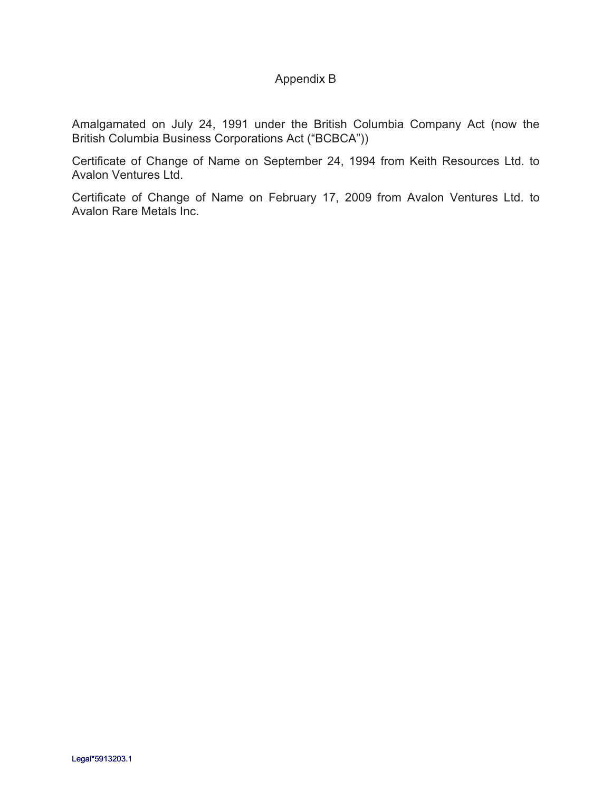### Appendix B

Amalgamated on July 24, 1991 under the British Columbia Company Act (now the British Columbia Business Corporations Act ("BCBCA"))

Certificate of Change of Name on September 24, 1994 from Keith Resources Ltd. to Avalon Ventures Ltd.

Certificate of Change of Name on February 17, 2009 from Avalon Ventures Ltd. to Avalon Rare Metals Inc.